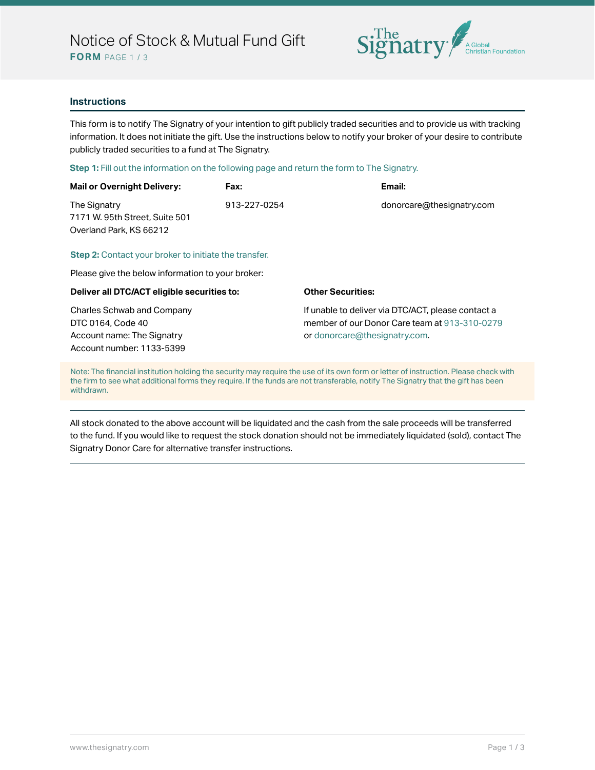

### **Instructions**

This form is to notify The Signatry of your intention to gift publicly traded securities and to provide us with tracking information. It does not initiate the gift. Use the instructions below to notify your broker of your desire to contribute publicly traded securities to a fund at The Signatry.

#### **Step 1:** Fill out the information on the following page and return the form to The Signatry.

| <b>Mail or Overnight Delivery:</b> | Fax:         | Email:                    |
|------------------------------------|--------------|---------------------------|
| The Signatry                       | 913-227-0254 | donorcare@thesignatry.com |
| 7171 W. 95th Street, Suite 501     |              |                           |
| Overland Park, KS 66212            |              |                           |
|                                    |              |                           |

#### **Step 2:** Contact your broker to initiate the transfer.

Please give the below information to your broker:

#### **Deliver all DTC/ACT eligible securities to:**

Charles Schwab and Company DTC 0164, Code 40 Account name: The Signatry Account number: 1133-5399

#### **Other Securities:**

If unable to deliver via DTC/ACT, please contact a member of our Donor Care team at 913-310-0279 or donorcare@thesignatry.com.

Note: The financial institution holding the security may require the use of its own form or letter of instruction. Please check with the firm to see what additional forms they require. If the funds are not transferable, notify The Signatry that the gift has been withdrawn.

All stock donated to the above account will be liquidated and the cash from the sale proceeds will be transferred to the fund. If you would like to request the stock donation should not be immediately liquidated (sold), contact The Signatry Donor Care for alternative transfer instructions.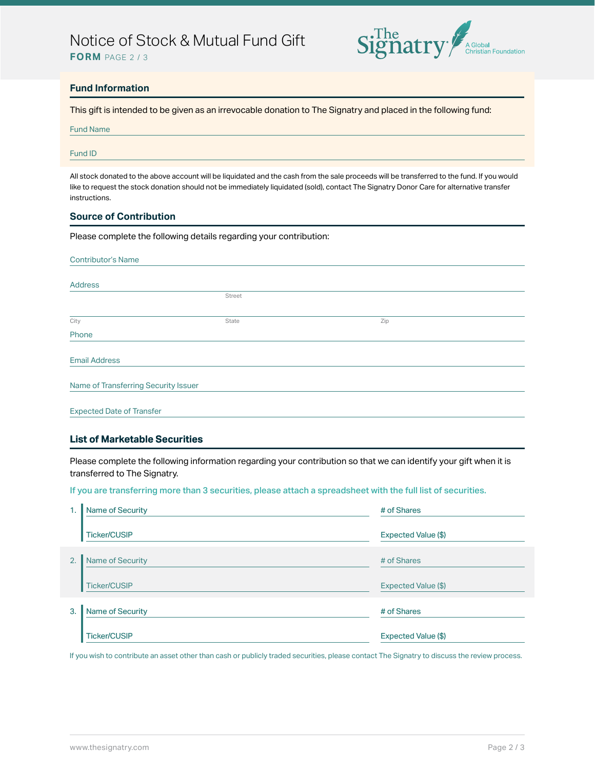## Notice of Stock & Mutual Fund Gift





## **Fund Information**

This gift is intended to be given as an irrevocable donation to The Signatry and placed in the following fund:

| <b>Fund Name</b> |  |
|------------------|--|
|------------------|--|

#### Fund ID

All stock donated to the above account will be liquidated and the cash from the sale proceeds will be transferred to the fund. If you would like to request the stock donation should not be immediately liquidated (sold), contact The Signatry Donor Care for alternative transfer instructions.

## **Source of Contribution**

Please complete the following details regarding your contribution:

| <b>Contributor's Name</b> |     |  |  |  |
|---------------------------|-----|--|--|--|
|                           |     |  |  |  |
|                           |     |  |  |  |
| Street                    |     |  |  |  |
|                           |     |  |  |  |
| State                     | Zip |  |  |  |
|                           |     |  |  |  |
|                           |     |  |  |  |
|                           |     |  |  |  |
|                           |     |  |  |  |
|                           |     |  |  |  |
|                           |     |  |  |  |
|                           |     |  |  |  |
|                           |     |  |  |  |

#### **List of Marketable Securities**

Please complete the following information regarding your contribution so that we can identify your gift when it is transferred to The Signatry.

If you are transferring more than 3 securities, please attach a spreadsheet with the full list of securities.

| 1. | <b>Name of Security</b> | # of Shares         |
|----|-------------------------|---------------------|
|    | <b>Ticker/CUSIP</b>     | Expected Value (\$) |
| 2. | Name of Security        | # of Shares         |
|    | <b>Ticker/CUSIP</b>     | Expected Value (\$) |
| 3. | Name of Security        | # of Shares         |
|    | <b>Ticker/CUSIP</b>     | Expected Value (\$) |

If you wish to contribute an asset other than cash or publicly traded securities, please contact The Signatry to discuss the review process.